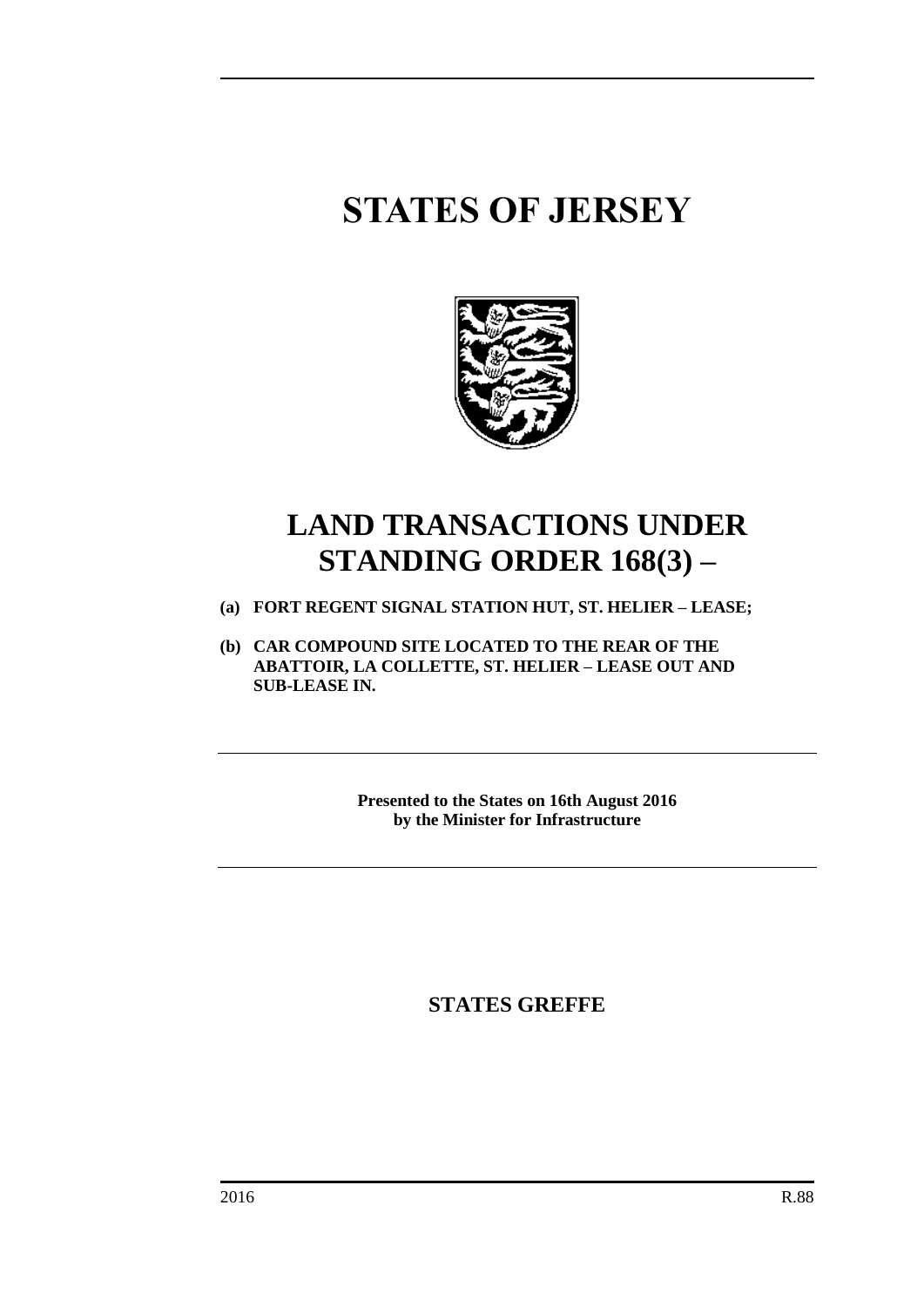# **STATES OF JERSEY**



# **LAND TRANSACTIONS UNDER STANDING ORDER 168(3) –**

- **(a) FORT REGENT SIGNAL STATION HUT, ST. HELIER – LEASE;**
- **(b) CAR COMPOUND SITE LOCATED TO THE REAR OF THE ABATTOIR, LA COLLETTE, ST. HELIER – LEASE OUT AND SUB-LEASE IN.**

**Presented to the States on 16th August 2016 by the Minister for Infrastructure**

**STATES GREFFE**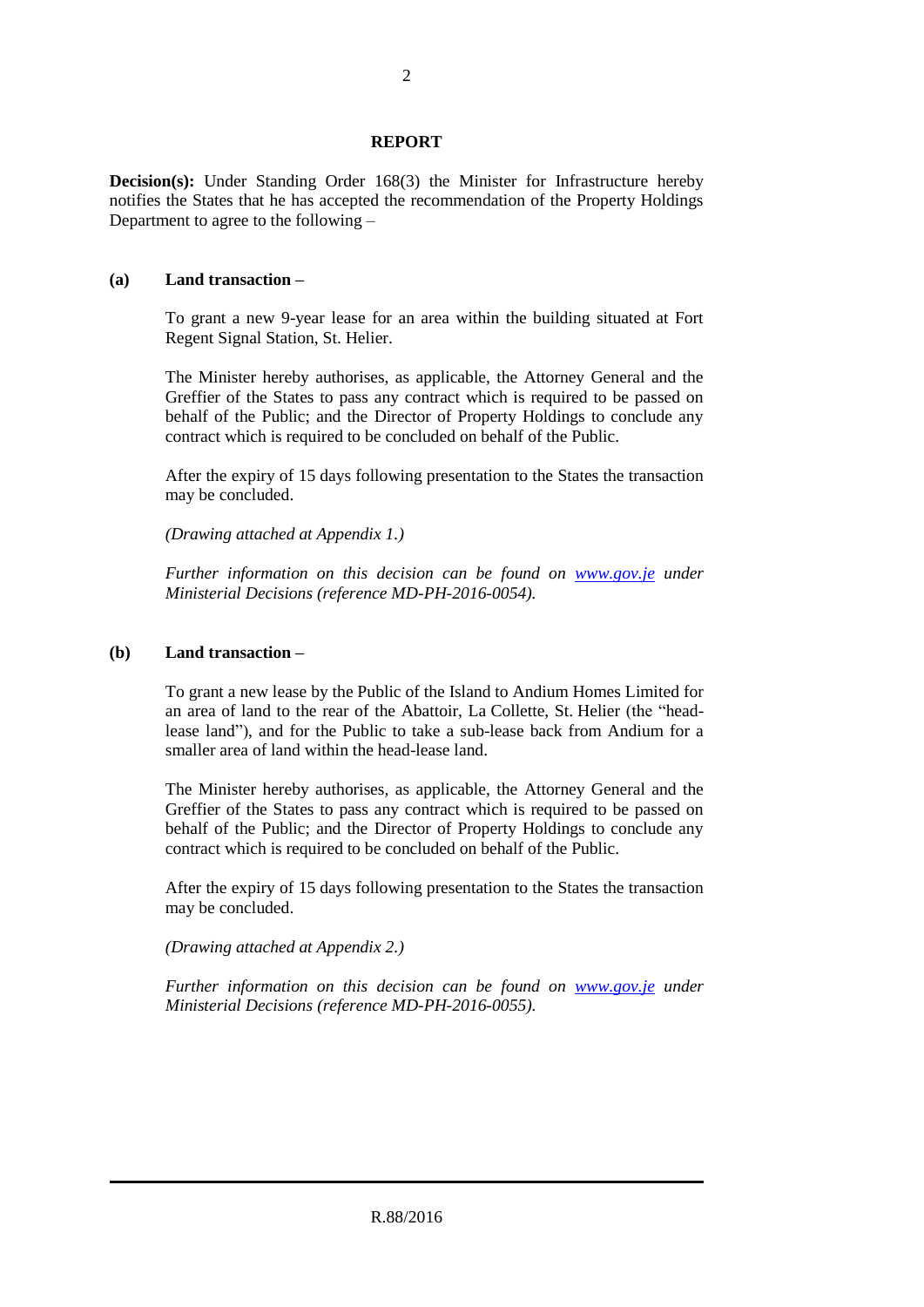## **REPORT**

**Decision(s):** Under Standing Order 168(3) the Minister for Infrastructure hereby notifies the States that he has accepted the recommendation of the Property Holdings Department to agree to the following –

#### **(a) Land transaction –**

To grant a new 9-year lease for an area within the building situated at Fort Regent Signal Station, St. Helier.

The Minister hereby authorises, as applicable, the Attorney General and the Greffier of the States to pass any contract which is required to be passed on behalf of the Public; and the Director of Property Holdings to conclude any contract which is required to be concluded on behalf of the Public.

After the expiry of 15 days following presentation to the States the transaction may be concluded.

*(Drawing attached at Appendix 1.)*

*Further information on this decision can be found on [www.gov.je](http://www.gov.je/) under Ministerial Decisions (reference MD-PH-2016-0054).*

### **(b) Land transaction –**

To grant a new lease by the Public of the Island to Andium Homes Limited for an area of land to the rear of the Abattoir, La Collette, St. Helier (the "headlease land"), and for the Public to take a sub-lease back from Andium for a smaller area of land within the head-lease land.

The Minister hereby authorises, as applicable, the Attorney General and the Greffier of the States to pass any contract which is required to be passed on behalf of the Public; and the Director of Property Holdings to conclude any contract which is required to be concluded on behalf of the Public.

After the expiry of 15 days following presentation to the States the transaction may be concluded.

*(Drawing attached at Appendix 2.)*

*Further information on this decision can be found on <i>[www.gov.je](http://www.gov.je/)* under *Ministerial Decisions (reference MD-PH-2016-0055).*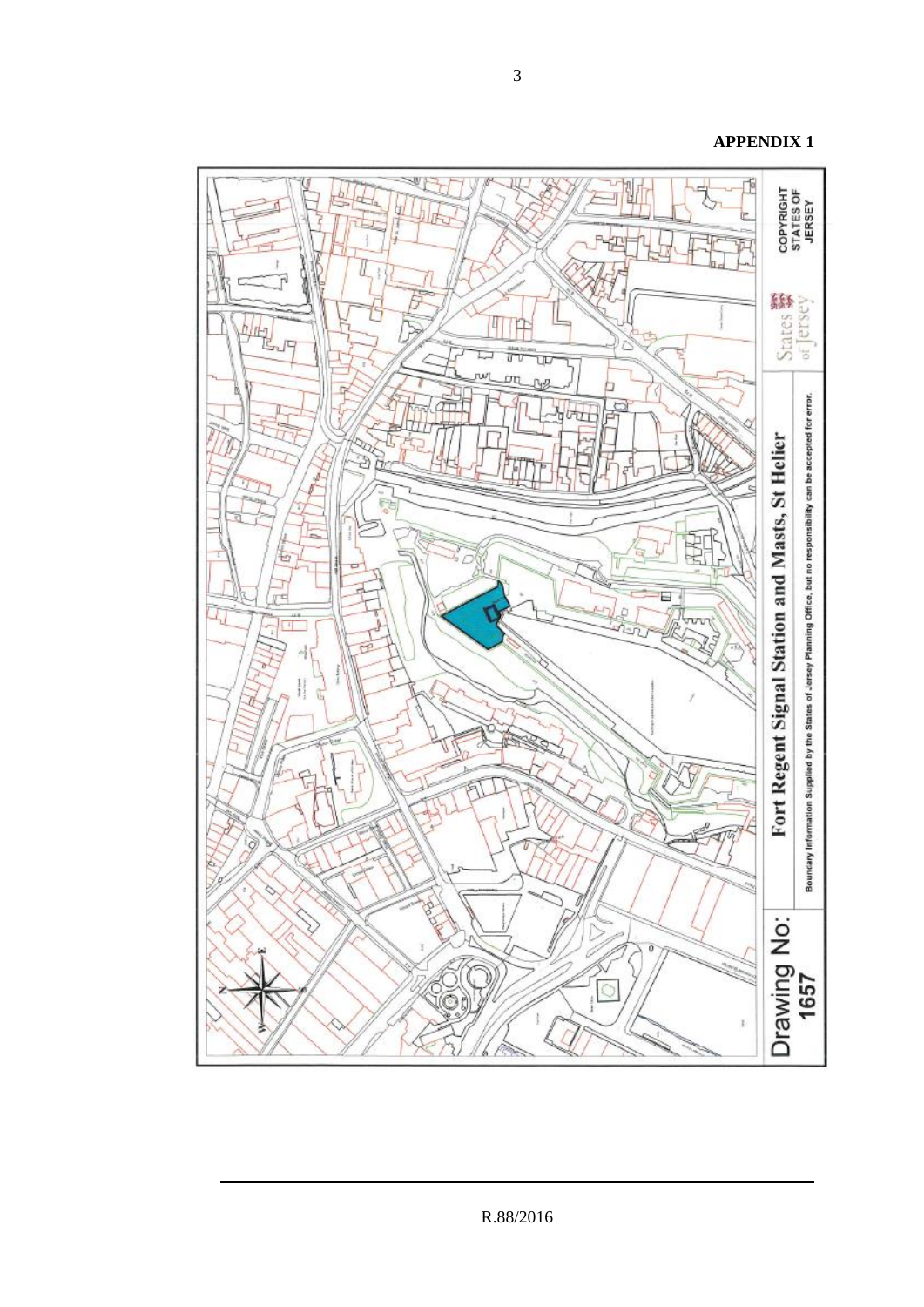

**APPENDIX 1**